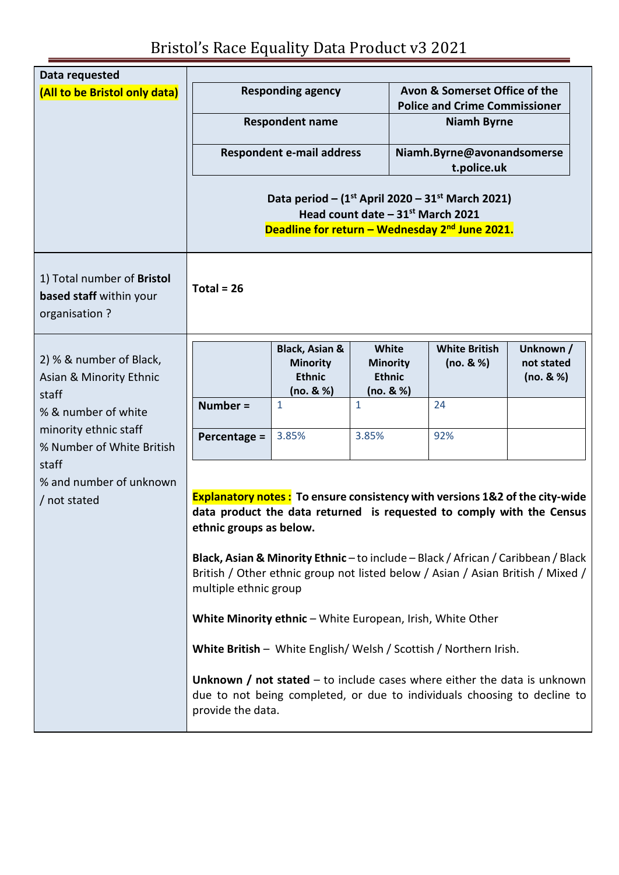| Data requested                                                          |                                                                                                                                                                                               |                                                                            |                                                                       |                                                               |                                   |                                      |
|-------------------------------------------------------------------------|-----------------------------------------------------------------------------------------------------------------------------------------------------------------------------------------------|----------------------------------------------------------------------------|-----------------------------------------------------------------------|---------------------------------------------------------------|-----------------------------------|--------------------------------------|
| (All to be Bristol only data)                                           | <b>Responding agency</b>                                                                                                                                                                      |                                                                            | Avon & Somerset Office of the<br><b>Police and Crime Commissioner</b> |                                                               |                                   |                                      |
|                                                                         | <b>Respondent name</b>                                                                                                                                                                        |                                                                            | <b>Niamh Byrne</b>                                                    |                                                               |                                   |                                      |
|                                                                         |                                                                                                                                                                                               | <b>Respondent e-mail address</b>                                           |                                                                       | Niamh.Byrne@avonandsomerse                                    |                                   |                                      |
|                                                                         | t.police.uk<br>Data period – $(1^{st}$ April 2020 – 31 <sup>st</sup> March 2021)<br>Head count date - 31st March 2021<br>Deadline for return - Wednesday 2 <sup>nd</sup> June 2021.           |                                                                            |                                                                       |                                                               |                                   |                                      |
| 1) Total number of Bristol<br>based staff within your<br>organisation ? | Total = $26$                                                                                                                                                                                  |                                                                            |                                                                       |                                                               |                                   |                                      |
| 2) % & number of Black,<br>Asian & Minority Ethnic<br>staff             |                                                                                                                                                                                               | <b>Black, Asian &amp;</b><br><b>Minority</b><br><b>Ethnic</b><br>(no. 8 %) |                                                                       | <b>White</b><br><b>Minority</b><br><b>Ethnic</b><br>(no. 8 %) | <b>White British</b><br>(no. 8 %) | Unknown /<br>not stated<br>(no. 8 %) |
| % & number of white                                                     | Number $=$                                                                                                                                                                                    | $\mathbf{1}$                                                               | $\mathbf{1}$                                                          |                                                               | 24                                |                                      |
| minority ethnic staff<br>% Number of White British                      | Percentage =                                                                                                                                                                                  | 3.85%                                                                      | 3.85%                                                                 |                                                               | 92%                               |                                      |
| staff<br>% and number of unknown                                        |                                                                                                                                                                                               |                                                                            |                                                                       |                                                               |                                   |                                      |
| / not stated                                                            | <b>Explanatory notes:</b> To ensure consistency with versions 1&2 of the city-wide<br>data product the data returned is requested to comply with the Census<br>ethnic groups as below.        |                                                                            |                                                                       |                                                               |                                   |                                      |
|                                                                         | Black, Asian & Minority Ethnic - to include - Black / African / Caribbean / Black<br>British / Other ethnic group not listed below / Asian / Asian British / Mixed /<br>multiple ethnic group |                                                                            |                                                                       |                                                               |                                   |                                      |
|                                                                         | White Minority ethnic - White European, Irish, White Other                                                                                                                                    |                                                                            |                                                                       |                                                               |                                   |                                      |
|                                                                         | White British - White English/Welsh / Scottish / Northern Irish.                                                                                                                              |                                                                            |                                                                       |                                                               |                                   |                                      |
|                                                                         | Unknown / not stated – to include cases where either the data is unknown<br>due to not being completed, or due to individuals choosing to decline to<br>provide the data.                     |                                                                            |                                                                       |                                                               |                                   |                                      |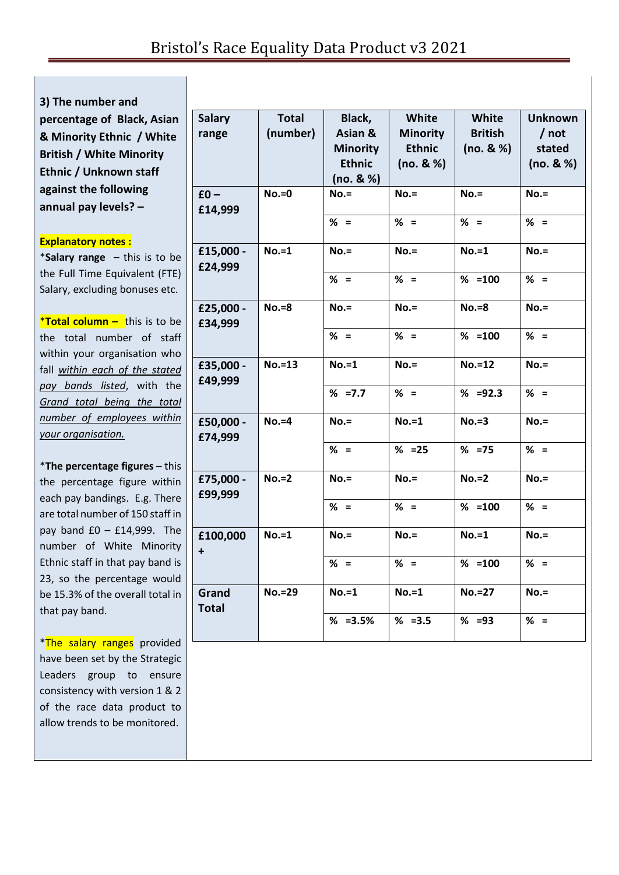**3) The number and** 

**percentage of Black, Asian & Minority Ethnic / White British / White Minority Ethnic / Unknown staff against the following annual pay levels? –**

## **Explanatory notes :**

\***Salary range** – this is to be the Full Time Equivalent (FTE) Salary, excluding bonuses etc.

\***Total column –** this is to be the total number of staff within your organisation who fall *within each of the stated pay bands listed*, with the *Grand total being the total number of employees within your organisation.*

\***The percentage figures** – this the percentage figure within each pay bandings. E.g. There are total number of 150 staff in pay band £0 – £14,999. The number of White Minority Ethnic staff in that pay band is 23, so the percentage would be 15.3% of the overall total in that pay band.

\*The salary ranges provided have been set by the Strategic Leaders group to ensure consistency with version 1 & 2 of the race data product to allow trends to be monitored.

| <b>Salary</b>                    | <b>Total</b>  | Black,          | White           | <b>White</b>   | <b>Unknown</b> |
|----------------------------------|---------------|-----------------|-----------------|----------------|----------------|
| range                            | (number)      | Asian &         | <b>Minority</b> | <b>British</b> | $/$ not        |
|                                  |               | <b>Minority</b> | <b>Ethnic</b>   | (no. 8 %)      | stated         |
|                                  |               | <b>Ethnic</b>   | (no. 8 %)       |                | (no. 8 %)      |
|                                  |               | (no. 8 %)       |                 |                |                |
| $£0 -$                           | $No.=0$       | $No.=$          | $No.=$          | $No.=$         | $No.=$         |
| £14,999                          |               |                 |                 |                |                |
|                                  |               | $% =$           | $% =$           | $% =$          | $% =$          |
| £15,000 -<br>£24,999             | $No.=1$       | $No.=$          | $No.=$          | $No.=1$        | $No.=$         |
|                                  |               | $% =$           | $% =$           | $% = 100$      | $% =$          |
| £25,000 -<br>£34,999             | $No.=8$       | $No.=$          | $No.=$          | $No.=8$        | $No.=$         |
|                                  |               | $% =$           | $% =$           | $% = 100$      | $% =$          |
| $No.=13$<br>£35,000 -<br>£49,999 |               | $No.=1$         | $No.=$          | $No.=12$       | $No.=$         |
|                                  |               | $% = 7.7$       | $% =$           | $% = 92.3$     | $% =$          |
| £50,000 -<br>£74,999             | $No.=4$       | $No.=$          | $No.=1$         | $No.=3$        | $No.=$         |
|                                  |               | $% =$           | $% = 25$        | $% = 75$       | $% =$          |
| £75,000 -<br>£99,999             | $No.=2$       | $No.=$          | $No.=$          | $No.=2$        | $No.=$         |
|                                  |               | $% =$           | $% =$           | $% = 100$      | $% =$          |
| £100,000<br>$\ddot{}$            | $No.=1$       | $No.=$          | $No.=$          | $No.=1$        | $No.=$         |
|                                  |               | $% =$           | $% =$           | $% = 100$      | $% =$          |
| Grand<br><b>Total</b>            | <b>No.=29</b> | $No.=1$         | $No.=1$         | <b>No.=27</b>  | $No.=$         |
|                                  |               | $% = 3.5%$      | $% = 3.5$       | $% = 93$       | $% =$          |
|                                  |               |                 |                 |                |                |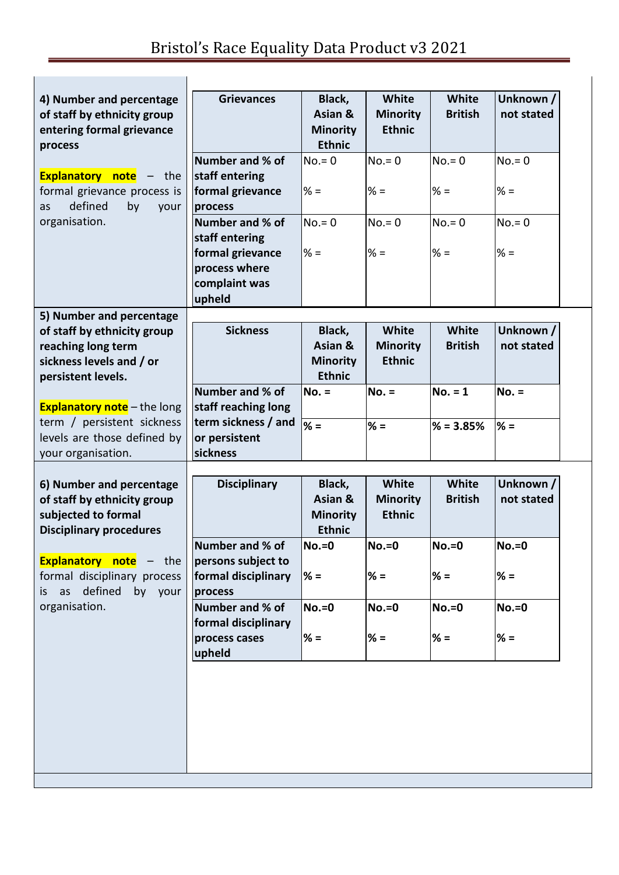| 4) Number and percentage<br>of staff by ethnicity group<br>entering formal grievance<br>process                                 | <b>Grievances</b>                                            | Black,<br>Asian &<br><b>Minority</b><br><b>Ethnic</b> | <b>White</b><br><b>Minority</b><br><b>Ethnic</b> | <b>White</b><br><b>British</b> | Unknown /<br>not stated |
|---------------------------------------------------------------------------------------------------------------------------------|--------------------------------------------------------------|-------------------------------------------------------|--------------------------------------------------|--------------------------------|-------------------------|
| <b>Explanatory note</b><br>$-$ the                                                                                              | Number and % of<br>staff entering                            | $No = 0$                                              | $No = 0$                                         | $No = 0$                       | $No = 0$                |
| formal grievance process is<br>defined<br>by<br>as<br>your<br>organisation.                                                     | formal grievance<br>process<br>Number and % of               | $% =$<br>$No = 0$                                     | $% =$<br>$No = 0$                                | $% =$<br>$No = 0$              | $% =$<br>$No = 0$       |
|                                                                                                                                 | staff entering<br>formal grievance<br>process where          | $% =$                                                 | $% =$                                            | $% =$                          | $% =$                   |
|                                                                                                                                 | complaint was<br>upheld                                      |                                                       |                                                  |                                |                         |
| 5) Number and percentage<br>of staff by ethnicity group<br>reaching long term<br>sickness levels and / or<br>persistent levels. | <b>Sickness</b>                                              | Black,<br>Asian &<br><b>Minority</b><br><b>Ethnic</b> | White<br><b>Minority</b><br><b>Ethnic</b>        | <b>White</b><br><b>British</b> | Unknown /<br>not stated |
| <b>Explanatory note</b> - the long                                                                                              | Number and % of<br>staff reaching long                       | $No. =$                                               | $No. =$                                          | $No. = 1$                      | $No. =$                 |
| term / persistent sickness<br>levels are those defined by<br>your organisation.                                                 | term sickness / and<br>or persistent<br>sickness             | $\% =$                                                | $% =$                                            | $% = 3.85%$                    | $% =$                   |
| 6) Number and percentage<br>of staff by ethnicity group<br>subjected to formal<br><b>Disciplinary procedures</b>                | <b>Disciplinary</b>                                          | Black,<br>Asian &<br><b>Minority</b><br><b>Ethnic</b> | <b>White</b><br><b>Minority</b><br><b>Ethnic</b> | <b>White</b><br><b>British</b> | Unknown /<br>not stated |
| Explanatory note - the<br>formal disciplinary process                                                                           | Number and % of<br>persons subject to<br>formal disciplinary | <b>No.=0</b><br>$% =$                                 | $No.=0$<br>$% =$                                 | $No.=0$<br>$% =$               | $No.=0$<br>$% =$        |
| defined<br>by your<br>as<br>is<br>organisation.                                                                                 | process<br>Number and % of<br>formal disciplinary            | $No.=0$                                               | $No.=0$                                          | $No.=0$                        | $No.=0$                 |
|                                                                                                                                 | process cases<br>upheld                                      | $% =$                                                 | $\% =$                                           | $% =$                          | $% =$                   |
|                                                                                                                                 |                                                              |                                                       |                                                  |                                |                         |
|                                                                                                                                 |                                                              |                                                       |                                                  |                                |                         |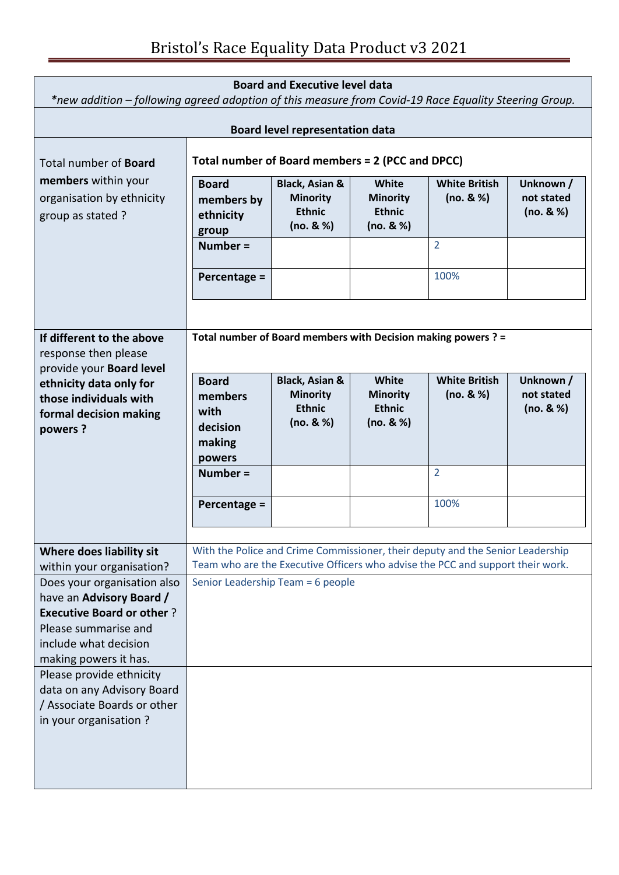| <b>Board and Executive level data</b><br>*new addition – following agreed adoption of this measure from Covid-19 Race Equality Steering Group.                        |                                                                 |                                                                            |                                                        |                                                                                |                                      |  |
|-----------------------------------------------------------------------------------------------------------------------------------------------------------------------|-----------------------------------------------------------------|----------------------------------------------------------------------------|--------------------------------------------------------|--------------------------------------------------------------------------------|--------------------------------------|--|
| <b>Board level representation data</b>                                                                                                                                |                                                                 |                                                                            |                                                        |                                                                                |                                      |  |
| Total number of <b>Board</b>                                                                                                                                          | Total number of Board members = 2 (PCC and DPCC)                |                                                                            |                                                        |                                                                                |                                      |  |
| members within your<br>organisation by ethnicity<br>group as stated?                                                                                                  | <b>Board</b><br>members by<br>ethnicity<br>group                | <b>Black, Asian &amp;</b><br><b>Minority</b><br><b>Ethnic</b><br>(no. 8 %) | White<br><b>Minority</b><br><b>Ethnic</b><br>(no. 8 %) | <b>White British</b><br>(no. 8 %)                                              | Unknown /<br>not stated<br>(no. 8 %) |  |
|                                                                                                                                                                       | Number $=$<br>Percentage =                                      |                                                                            |                                                        | 2<br>100%                                                                      |                                      |  |
| If different to the above<br>response then please<br>provide your Board level                                                                                         | Total number of Board members with Decision making powers ? =   |                                                                            |                                                        |                                                                                |                                      |  |
| ethnicity data only for<br>those individuals with<br>formal decision making<br>powers?                                                                                | <b>Board</b><br>members<br>with<br>decision<br>making<br>powers | <b>Black, Asian &amp;</b><br><b>Minority</b><br><b>Ethnic</b><br>(no. 8 %) | White<br><b>Minority</b><br><b>Ethnic</b><br>(no. 8 %) | <b>White British</b><br>(no. 8 %)                                              | Unknown /<br>not stated<br>(no. 8 %) |  |
|                                                                                                                                                                       | Number $=$<br>Percentage =                                      |                                                                            |                                                        | $\overline{2}$<br>100%                                                         |                                      |  |
| Where does liability sit                                                                                                                                              |                                                                 |                                                                            |                                                        | With the Police and Crime Commissioner, their deputy and the Senior Leadership |                                      |  |
| within your organisation?                                                                                                                                             |                                                                 |                                                                            |                                                        | Team who are the Executive Officers who advise the PCC and support their work. |                                      |  |
| Does your organisation also<br>have an Advisory Board /<br><b>Executive Board or other?</b><br>Please summarise and<br>include what decision<br>making powers it has. | Senior Leadership Team = 6 people                               |                                                                            |                                                        |                                                                                |                                      |  |
| Please provide ethnicity<br>data on any Advisory Board<br>/ Associate Boards or other<br>in your organisation?                                                        |                                                                 |                                                                            |                                                        |                                                                                |                                      |  |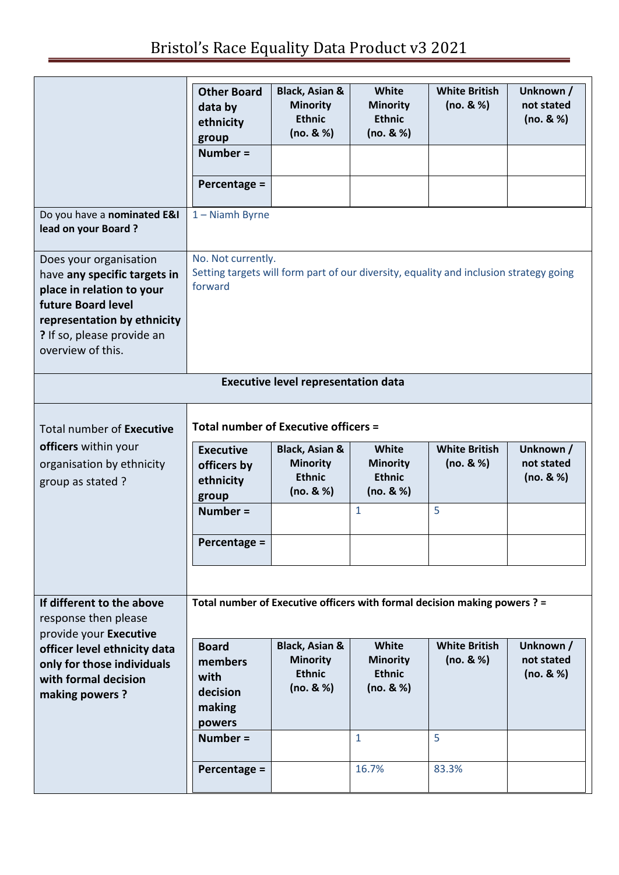|                                                                                                                                                                                             | <b>Other Board</b><br>data by<br>ethnicity<br>group<br>Number $=$<br>Percentage =                                           | <b>Black, Asian &amp;</b><br><b>Minority</b><br><b>Ethnic</b><br>(no. 8 %) | <b>White</b><br><b>Minority</b><br><b>Ethnic</b><br>(no. 8 %)          | <b>White British</b><br>(no. 8 %)                                                      | Unknown /<br>not stated<br>(no. 8 %) |
|---------------------------------------------------------------------------------------------------------------------------------------------------------------------------------------------|-----------------------------------------------------------------------------------------------------------------------------|----------------------------------------------------------------------------|------------------------------------------------------------------------|----------------------------------------------------------------------------------------|--------------------------------------|
|                                                                                                                                                                                             |                                                                                                                             |                                                                            |                                                                        |                                                                                        |                                      |
| Do you have a nominated E&I<br>lead on your Board?                                                                                                                                          | 1 - Niamh Byrne                                                                                                             |                                                                            |                                                                        |                                                                                        |                                      |
| Does your organisation<br>have any specific targets in<br>place in relation to your<br>future Board level<br>representation by ethnicity<br>? If so, please provide an<br>overview of this. | No. Not currently.<br>forward                                                                                               |                                                                            |                                                                        | Setting targets will form part of our diversity, equality and inclusion strategy going |                                      |
|                                                                                                                                                                                             |                                                                                                                             | <b>Executive level representation data</b>                                 |                                                                        |                                                                                        |                                      |
| Total number of Executive<br>officers within your<br>organisation by ethnicity<br>group as stated?                                                                                          | Total number of Executive officers =<br><b>Executive</b><br>officers by<br>ethnicity<br>group<br>Number $=$<br>Percentage = | <b>Black, Asian &amp;</b><br><b>Minority</b><br><b>Ethnic</b><br>(no. 8 %) | White<br><b>Minority</b><br><b>Ethnic</b><br>(no. 8 %)<br>$\mathbf{1}$ | <b>White British</b><br>(no. 8 %)<br>5                                                 | Unknown /<br>not stated<br>(no. 8 %) |
| If different to the above<br>response then please<br>provide your Executive                                                                                                                 |                                                                                                                             |                                                                            |                                                                        | Total number of Executive officers with formal decision making powers ? =              |                                      |
| officer level ethnicity data<br>only for those individuals<br>with formal decision<br>making powers?                                                                                        | <b>Board</b><br>members<br>with<br>decision<br>making<br>powers                                                             | <b>Black, Asian &amp;</b><br><b>Minority</b><br><b>Ethnic</b><br>(no. 8 %) | White<br><b>Minority</b><br><b>Ethnic</b><br>(no. 8 %)                 | <b>White British</b><br>(no. 8 %)                                                      | Unknown /<br>not stated<br>(no. 8 %) |
|                                                                                                                                                                                             | Number $=$                                                                                                                  |                                                                            | $\mathbf{1}$                                                           | 5                                                                                      |                                      |
|                                                                                                                                                                                             | Percentage =                                                                                                                |                                                                            | 16.7%                                                                  | 83.3%                                                                                  |                                      |